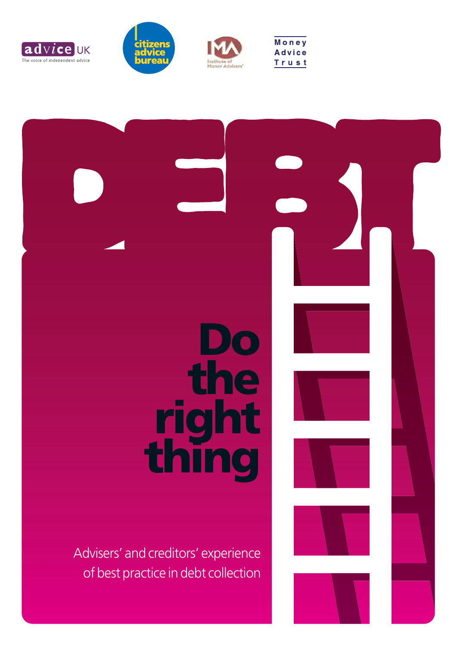





Money

**Advice** 

Trust



Advisers' and creditors' experience of best practice in debt collection

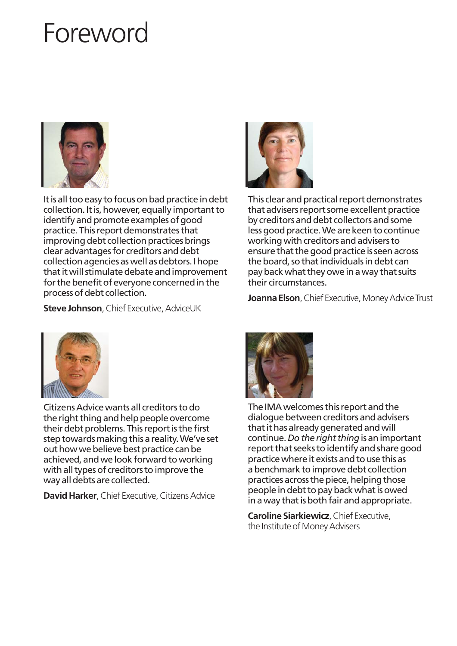## Foreword



It is all too easy to focus on bad practice in debt collection. It is, however, equally important to identify and promote examples of good practice. This report demonstrates that improving debt collection practices brings clear advantages for creditors and debt collection agencies as well as debtors. I hope that it will stimulate debate and improvement for the benefit of everyone concerned in the process of debt collection.



This clear and practical report demonstrates that advisers report some excellent practice by creditors and debt collectors and some less good practice. We are keen to continue working with creditors and advisers to ensure that the good practice is seen across the board, so that individuals in debt can pay back what they owe in a way that suits their circumstances.

**Steve Johnson**, Chief Executive, AdviceUK





Citizens Advice wants all creditors to do the right thing and help people overcome their debt problems. This report is the first step towards making this a reality. We've set out how we believe best practice can be achieved, and we look forward to working with all types of creditors to improve the way all debts are collected.

**David Harker**, Chief Executive, Citizens Advice



The IMA welcomes this report and the dialogue between creditors and advisers that it has already generated and will continue. *Do the right thing*is an important report that seeks to identify and share good practice where it exists and to use this as a benchmark to improve debt collection practices across the piece, helping those people in debt to pay back what is owed in a way that is both fair and appropriate.

**Caroline Siarkiewicz**, Chief Executive, the Institute of Money Advisers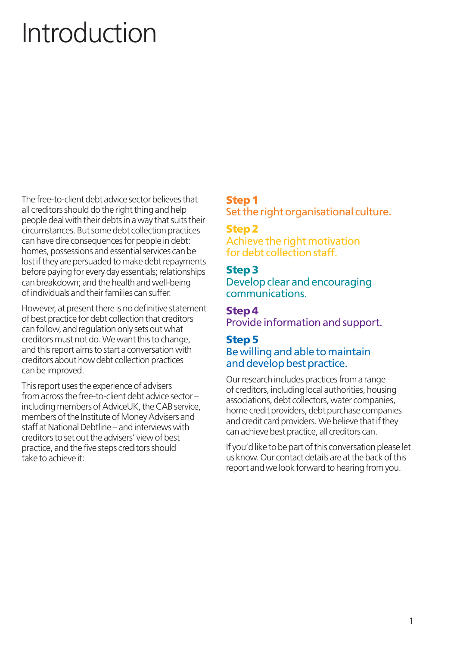# Introduction

The free-to-client debt advice sector believes that all creditors should do the right thing and help people deal with their debts in a way that suits their circumstances. But some debt collection practices can have dire consequences for people in debt: homes, possessions and essential services can be lost if they are persuaded to make debt repayments before paying for every day essentials; relationships can breakdown; and the health and well-being of individuals and their families can suffer.

However, at present there is no definitive statement of best practice for debt collection that creditors can follow, and regulation only sets out what creditors must not do. We want this to change, and this report aims to start a conversation with creditors about how debt collection practices can be improved.

This report uses the experience of advisers from across the free-to-client debt advice sector – including members of AdviceUK, the CAB service, members of the Institute of Money Advisers and staff at National Debtline – and interviews with creditors to set out the advisers' view of best practice, and the five steps creditors should take to achieve it:

### **Step 1**

Set the right organisational culture.

#### **Step 2** Achieve the right motivation

for debt collection staff.

## **Step 3**

Develop clear and encouraging communications.

**Step 4** Provide information and support.

## **Step 5** Be willing and able to maintain and develop best practice.

Our research includes practices from a range of creditors, including local authorities, housing associations, debt collectors, water companies, home credit providers, debt purchase companies and credit card providers. We believe that if they can achieve best practice, all creditors can.

If you'd like to be part of this conversation please let us know. Our contact details are at the back of this report and we look forward to hearing from you.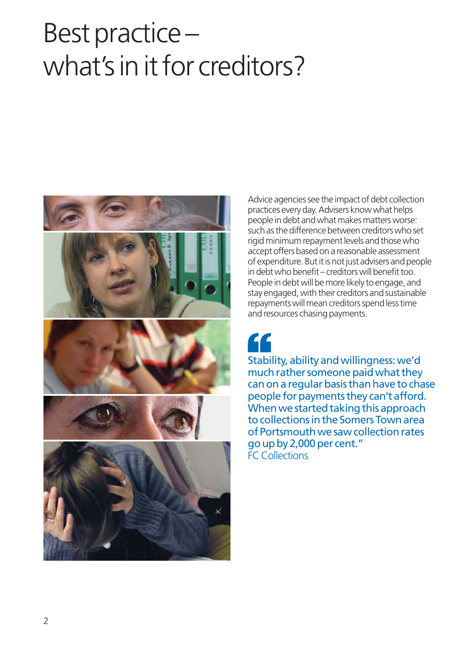## Best practice – what's in it for creditors?



Advice agencies see the impact of debt collection practices every day. Advisers know what helps people in debt and what makes matters worse: such as the difference between creditors who set rigid minimum repayment levels and those who accept offers based on a reasonable assessment of expenditure. But it is not just advisers and people in debt who benefit – creditors will benefit too. People in debt will be more likely to engage, and stay engaged, with their creditors and sustainable repayments will mean creditors spend less time and resources chasing payments.

Stability, ability and willingness: we'd much rather someone paid what they can on a regular basis than have to chase people for payments they can't afford. When we started taking this approach to collections in the Somers Town area of Portsmouth we saw collection rates go up by 2,000 per cent." FC Collections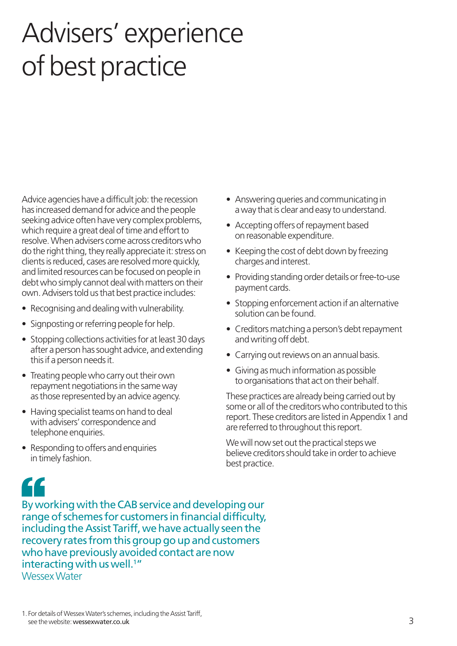## Advisers' experience of best practice

Advice agencies have a difficult job: the recession has increased demand for advice and the people seeking advice often have very complex problems, which require a great deal of time and effort to resolve. When advisers come across creditors who do the right thing, they really appreciate it: stress on clients is reduced, cases are resolved more quickly, and limited resources can be focused on people in debt who simply cannot deal with matters on their own. Advisers told us that best practice includes:

- Recognising and dealing with vulnerability.
- Signposting or referring people for help.
- Stopping collections activities for at least 30 days after a person has sought advice, and extending this if a person needs it.
- Treating people who carry out their own repayment negotiations in the same way as those represented by an advice agency.
- Having specialist teams on hand to deal with advisers' correspondence and telephone enquiries.
- Responding to offers and enquiries in timely fashion.
- Answering queries and communicating in a way that is clear and easy to understand.
- Accepting offers of repayment based on reasonable expenditure.
- Keeping the cost of debt down by freezing charges and interest.
- Providing standing order details or free-to-use payment cards.
- Stopping enforcement action if an alternative solution can be found.
- Creditors matching a person's debt repayment and writing off debt.
- Carrying out reviews on an annual basis.
- Giving as much information as possible to organisations that act on their behalf.

These practices are already being carried out by some or all of the creditors who contributed to this report. These creditors are listed in Appendix 1 and are referred to throughout this report.

We will now set out the practical steps we believe creditors should take in order to achieve best practice.

## 44

By working with the CAB service and developing our range of schemes for customers in financial difficulty, including the Assist Tariff, we have actually seen the recovery rates from this group go up and customers who have previously avoided contact are now interacting with us well.<sup>1</sup>" Wessex Water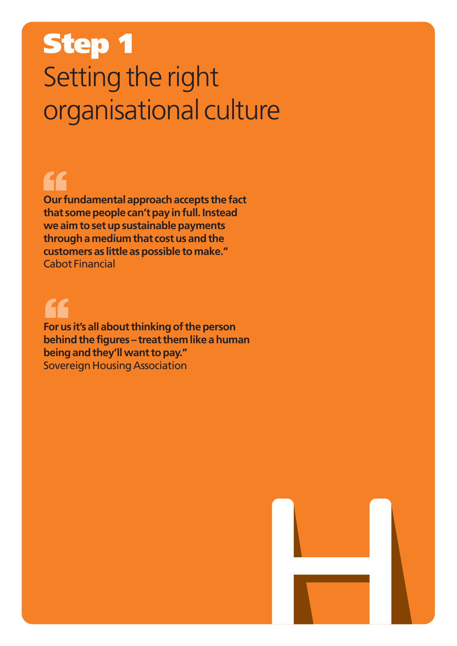## **Step 1** Setting the right organisational culture

## "

**Our fundamental approach accepts the fact that some people can't pay in full. Instead we aim to set up sustainable payments through a medium that cost us and the customers as little as possible to make."** Cabot Financial

**For us it's all about thinking of the person behind the figures – treat them like a human being and they'll want to pay."** Sovereign Housing Association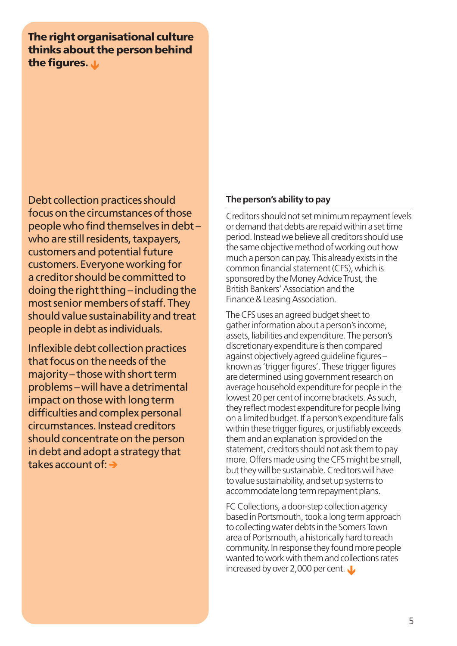**The right organisational culture thinks about the person behind the figures. L** 

Debt collection practices should focus on the circumstances of those people who find themselves in debt – who are still residents, taxpayers, customers and potential future customers. Everyone working for a creditor should be committed to doing the right thing – including the most senior members of staff. They should value sustainability and treat people in debt as individuals.

Inflexible debt collection practices that focus on the needs of the majority – those with short term problems – will have a detrimental impact on those with long term difficulties and complex personal circumstances. Instead creditors should concentrate on the person in debt and adopt a strategy that takes account of:

#### **The person's ability to pay**

Creditors should not set minimum repayment levels or demand that debts are repaid within a set time period. Instead we believe all creditors should use the same objective method of working out how much a person can pay. This already exists in the common financial statement (CFS), which is sponsored by the Money Advice Trust, the British Bankers' Association and the Finance & Leasing Association.

The CFS uses an agreed budget sheet to gather information about a person's income, assets, liabilities and expenditure. The person's discretionary expenditure is then compared against objectively agreed guideline figures – known as 'trigger figures'. These trigger figures are determined using government research on average household expenditure for people in the lowest 20 per cent of income brackets. As such, they reflect modest expenditure for people living on a limited budget. If a person's expenditure falls within these trigger figures, or justifiably exceeds them and an explanation is provided on the statement, creditors should not ask them to pay more. Offers made using the CFS might be small, but they will be sustainable. Creditors will have to value sustainability, and set up systems to accommodate long term repayment plans.

FC Collections, a door-step collection agency based in Portsmouth, took a long term approach to collecting water debts in the Somers Town area of Portsmouth, a historically hard to reach community. In response they found more people wanted to work with them and collections rates increased by over 2,000 per cent.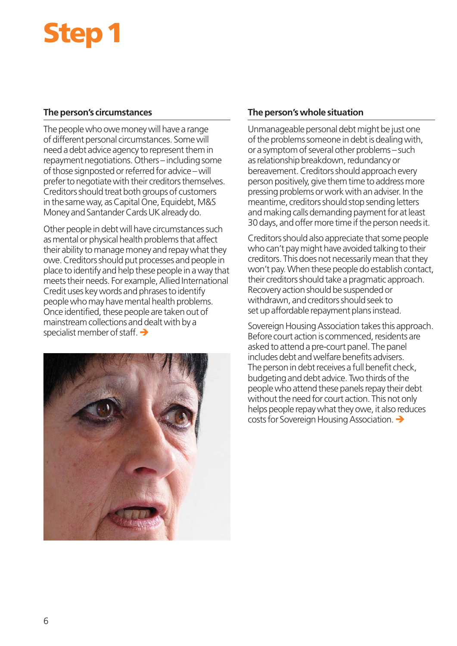# **Step 1**

#### **The person's circumstances**

The people who owe money will have a range of different personal circumstances. Some will need a debt advice agency to represent them in repayment negotiations. Others – including some of those signposted or referred for advice – will prefer to negotiate with their creditors themselves. Creditors should treat both groups of customers in the same way, as Capital One, Equidebt, M&S Money and Santander Cards UK already do.

Other people in debt will have circumstances such as mental or physical health problems that affect their ability to manage money and repay what they owe. Creditors should put processes and people in place to identify and help these people in a way that meets their needs. For example, Allied International Credit uses key words and phrases to identify people who may have mental health problems. Once identified, these people are taken out of mainstream collections and dealt with by a specialist member of staff.  $\rightarrow$ 



#### **The person's whole situation**

Unmanageable personal debt might be just one of the problems someone in debt is dealing with, or a symptom of several other problems – such as relationship breakdown, redundancy or bereavement. Creditors should approach every person positively, give them time to address more pressing problems or work with an adviser. In the meantime, creditors should stop sending letters and making calls demanding payment for at least 30 days, and offer more time if the person needs it.

Creditors should also appreciate that some people who can't pay might have avoided talking to their creditors. This does not necessarily mean that they won't pay. When these people do establish contact, their creditors should take a pragmatic approach. Recovery action should be suspended or withdrawn, and creditors should seek to set up affordable repayment plans instead.

Sovereign Housing Association takes this approach. Before court action is commenced, residents are asked to attend a pre-court panel. The panel includes debt and welfare benefits advisers. The person in debt receives a full benefit check, budgeting and debt advice. Two thirds of the people who attend these panels repay their debt without the need for court action. This not only helps people repay what they owe, it also reduces costs for Sovereign Housing Association.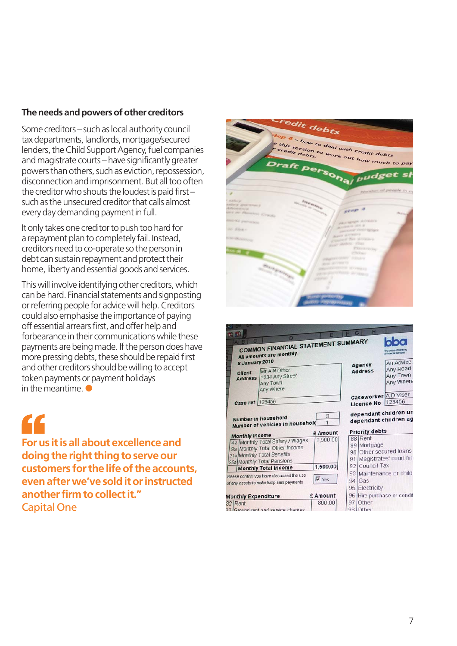#### **The needs and powers of other creditors**

Some creditors – such as local authority council tax departments, landlords, mortgage/secured lenders, the Child Support Agency, fuel companies and magistrate courts – have significantly greater powers than others, such as eviction, repossession, disconnection and imprisonment. But all too often the creditor who shouts the loudest is paid first – such as the unsecured creditor that calls almost every day demanding payment in full.

It only takes one creditor to push too hard for a repayment plan to completely fail. Instead, creditors need to co-operate so the person in debt can sustain repayment and protect their home, liberty and essential goods and services.

This will involve identifying other creditors, which can be hard. Financial statements and signposting or referring people for advice will help. Creditors could also emphasise the importance of paying off essential arrears first, and offer help and forbearance in their communications while these payments are being made. If the person does have more pressing debts, these should be repaid first and other creditors should be willing to accept token payments or payment holidays in the meantime.  $\bullet$ 



**For us it is all about excellence and doing the right thing to serve our customers for the life of the accounts, even after we've sold it or instructed another firm to collect it."** Capital One



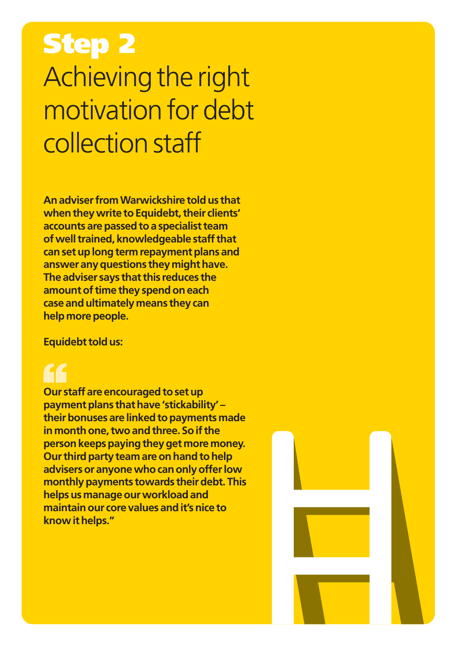## **Step 2** Achieving the right motivation for debt collection staff

**An adviser from Warwickshire told us that when they write to Equidebt, their clients' accounts are passed to a specialist team of well trained, knowledgeable staff that can set up long term repayment plans and answer any questions they might have. The adviser says that this reduces the amount of time they spend on each case and ultimately means they can help more people.**

**Equidebt told us:**

**Our staff are encouraged to set up payment plans that have 'stickability' – their bonuses are linked to payments made in month one, two and three. So if the person keeps paying they get more money. Our third party team are on hand to help advisers or anyone who can only offer low monthly payments towards their debt. This helps us manage our workload and maintain our core values and it's nice to know it helps."**

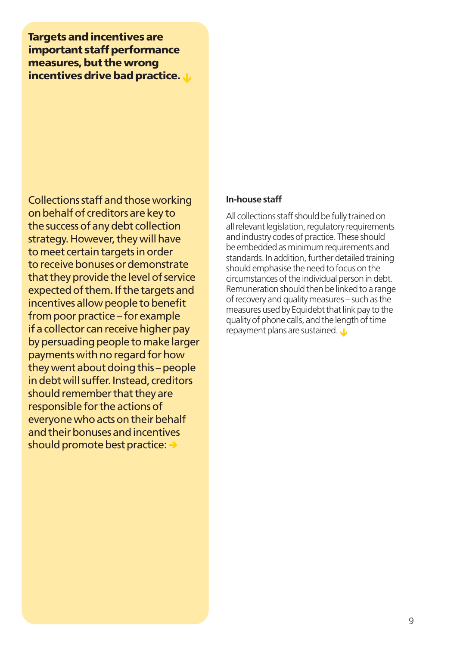**Targets and incentives are important staff performance measures, but the wrong incentives drive bad practice.** 

Collections staff and those working on behalf of creditors are key to the success of any debt collection strategy. However, they will have to meet certain targets in order to receive bonuses or demonstrate that they provide the level of service expected of them. If the targets and incentives allow people to benefit from poor practice – for example if a collector can receive higher pay by persuading people to make larger payments with no regard for how they went about doing this – people in debt will suffer. Instead, creditors should remember that they are responsible for the actions of everyone who acts on their behalf and their bonuses and incentives should promote best practice:

#### **In-house staff**

All collections staff should be fully trained on all relevant legislation, regulatory requirements and industry codes of practice. These should be embedded as minimum requirements and standards. In addition, further detailed training should emphasise the need to focus on the circumstances of the individual person in debt. Remuneration should then be linked to a range of recovery and quality measures – such as the measures used by Equidebt that link pay to the quality of phone calls, and the length of time repayment plans are sustained.  $\mathbf{J}$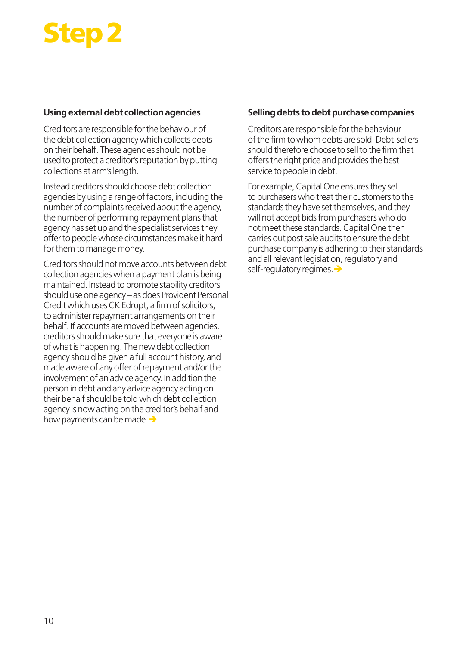## **Step 2**

#### **Using external debt collection agencies**

Creditors are responsible for the behaviour of the debt collection agency which collects debts on their behalf. These agencies should not be used to protect a creditor's reputation by putting collections at arm's length.

Instead creditors should choose debt collection agencies by using a range of factors, including the number of complaints received about the agency, the number of performing repayment plans that agency has set up and the specialist services they offer to people whose circumstances make it hard for them to manage money.

Creditors should not move accounts between debt collection agencies when a payment plan is being maintained. Instead to promote stability creditors should use one agency – as does Provident Personal Credit which uses CK Edrupt, a firm of solicitors, to administer repayment arrangements on their behalf. If accounts are moved between agencies, creditors should make sure that everyone is aware of what is happening. The new debt collection agency should be given a full account history, and made aware of any offer of repayment and/or the involvement of an advice agency. In addition the person in debt and any advice agency acting on their behalf should be told which debt collection agency is now acting on the creditor's behalf and how payments can be made.  $\rightarrow$ 

#### **Selling debts to debt purchase companies**

Creditors are responsible for the behaviour of the firm to whom debts are sold. Debt-sellers should therefore choose to sell to the firm that offers the right price and provides the best service to people in debt.

For example, Capital One ensures they sell to purchasers who treat their customers to the standards they have set themselves, and they will not accept bids from purchasers who do not meet these standards. Capital One then carries out post sale audits to ensure the debt purchase company is adhering to their standards and all relevant legislation, regulatory and self-regulatory regimes.  $\rightarrow$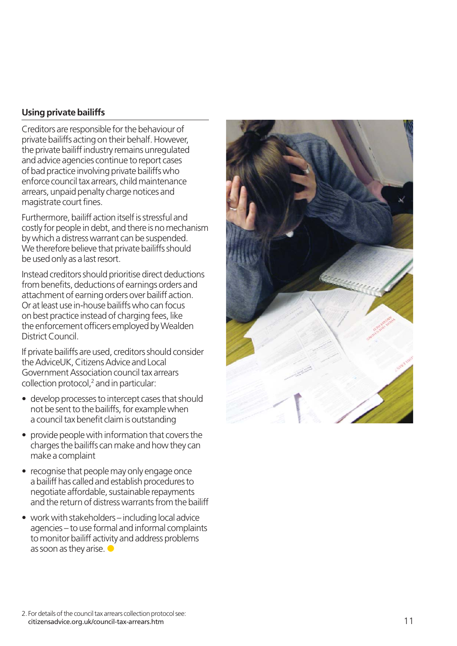#### **Using private bailiffs**

Creditors are responsible for the behaviour of private bailiffs acting on their behalf. However, the private bailiff industry remains unregulated and advice agencies continue to report cases of bad practice involving private bailiffs who enforce council tax arrears, child maintenance arrears, unpaid penalty charge notices and magistrate court fines.

Furthermore, bailiff action itself is stressful and costly for people in debt, and there is no mechanism by which a distress warrant can be suspended. We therefore believe that private bailiffs should be used only as a last resort.

Instead creditors should prioritise direct deductions from benefits, deductions of earnings orders and attachment of earning orders over bailiff action. Or at least use in-house bailiffs who can focus on best practice instead of charging fees, like the enforcement officers employed by Wealden District Council.

If private bailiffs are used, creditors should consider the AdviceUK, Citizens Advice and Local Government Association council tax arrears collection protocol, <sup>2</sup> and in particular:

- develop processes to intercept cases that should not be sent to the bailiffs, for example when a council tax benefit claim is outstanding
- provide people with information that covers the charges the bailiffs can make and how they can make a complaint
- recognise that people may only engage once a bailiff has called and establish procedures to negotiate affordable, sustainable repayments and the return of distress warrants from the bailiff
- work with stakeholders including local advice agencies – to use formal and informal complaints to monitor bailiff activity and address problems as soon as they arise.  $\bullet$

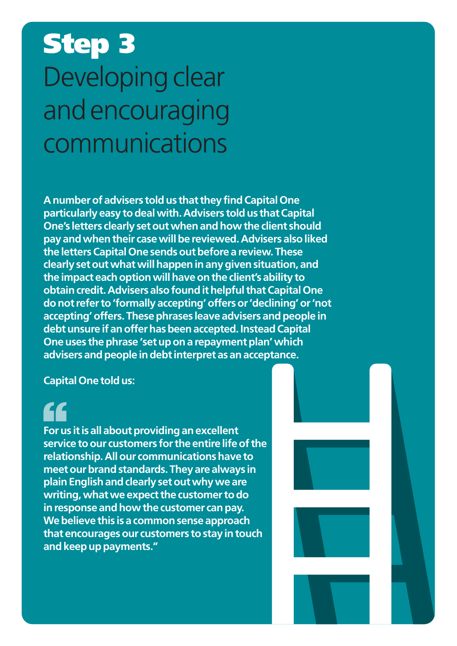# **Step 3** Developing clear and encouraging communications

**A number of advisers told us that they find Capital One particularly easy to deal with. Advisers told us that Capital One's letters clearly set out when and how the client should pay and when their case will be reviewed. Advisers also liked the letters Capital One sends out before a review. These clearly set out what will happen in any given situation, and the impact each option will have on the client's ability to obtain credit. Advisers also found it helpful that Capital One do not refer to 'formally accepting' offers or 'declining' or 'not accepting' offers. These phrases leave advisers and people in debt unsure if an offer has been accepted. Instead Capital One uses the phrase 'set up on a repayment plan' which advisers and people in debt interpret as an acceptance.**

**Capital One told us:** 

**For us it is all about providing an excellent service to our customers for the entire life of the relationship. All our communications have to meet our brand standards. They are always in plain English and clearly set out why we are writing, what we expect the customer to do in response and how the customer can pay. We believe this is a common sense approach that encourages our customers to stay in touch and keep up payments."**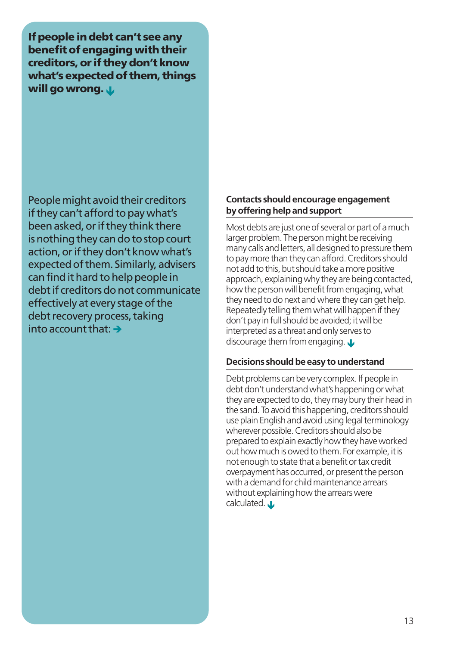**If people in debt can't see any benefit of engaging with their creditors, or if they don't know what's expected of them, things** will go wrong. *L* 

People might avoid their creditors if they can't afford to pay what's been asked, or if they think there is nothing they can do to stop court action, or if they don't know what's expected of them. Similarly, advisers can find it hard to help people in debt if creditors do not communicate effectively at every stage of the debt recovery process, taking  $\frac{1}{2}$  into account that:  $\rightarrow$ 

#### **Contacts should encourage engagement by offering help and support**

Most debts are just one of several or part of a much larger problem. The person might be receiving many calls and letters, all designed to pressure them to pay more than they can afford. Creditors should not add to this, but should take a more positive approach, explaining why they are being contacted, how the person will benefit from engaging, what they need to do next and where they can get help. Repeatedly telling them what will happen if they don't pay in full should be avoided; it will be interpreted as a threat and only serves to discourage them from engaging.  $\mathbf{\mathbf{\mathsf{L}}}$ 

#### **Decisions should be easy to understand**

Debt problems can be very complex. If people in debt don't understand what's happening or what they are expected to do, they may bury their head in the sand. To avoid this happening, creditors should use plain English and avoid using legal terminology wherever possible. Creditors should also be prepared to explain exactly how they have worked out how much is owed to them. For example, it is not enough to state that a benefit or tax credit overpayment has occurred, or present the person with a demand for child maintenance arrears without explaining how the arrears were calculated.  $\mathbf{\mathbf{\mathsf{L}}}$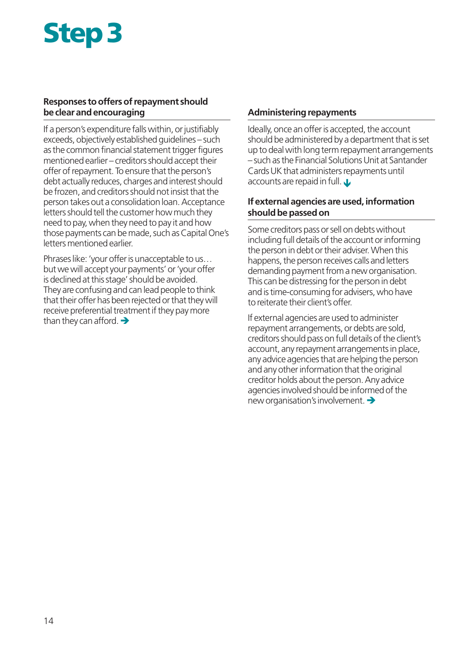# **Step 3**

#### **Responses to offers of repayment should be clear and encouraging**

If a person's expenditure falls within, or justifiably exceeds, objectively established guidelines – such as the common financial statement trigger figures mentioned earlier – creditors should accept their offer of repayment. To ensure that the person's debt actually reduces, charges and interest should be frozen, and creditors should not insist that the person takes out a consolidation loan. Acceptance letters should tell the customer how much they need to pay, when they need to pay it and how those payments can be made, such as Capital One's letters mentioned earlier.

Phrases like: 'your offer is unacceptable to us… but we will accept your payments' or 'your offer is declined at this stage' should be avoided. They are confusing and can lead people to think that their offer has been rejected or that they will receive preferential treatment if they pay more than they can afford.  $\rightarrow$ 

#### **Administering repayments**

Ideally, once an offer is accepted, the account should be administered by a department that is set up to deal with long term repayment arrangements – such as the Financial Solutions Unit at Santander Cards UK that administers repayments until accounts are repaid in full.  $\mathbf{\mu}$ 

#### **If external agencies are used, information should be passed on**

Some creditors pass or sell on debts without including full details of the account or informing the person in debt or their adviser. When this happens, the person receives calls and letters demanding payment from a new organisation. This can be distressing for the person in debt and is time-consuming for advisers, who have to reiterate their client's offer.

If external agencies are used to administer repayment arrangements, or debts are sold, creditors should pass on full details of the client's account, any repayment arrangements in place, any advice agencies that are helping the person and any other information that the original creditor holds about the person. Any advice agencies involved should be informed of the new organisation's involvement.  $\rightarrow$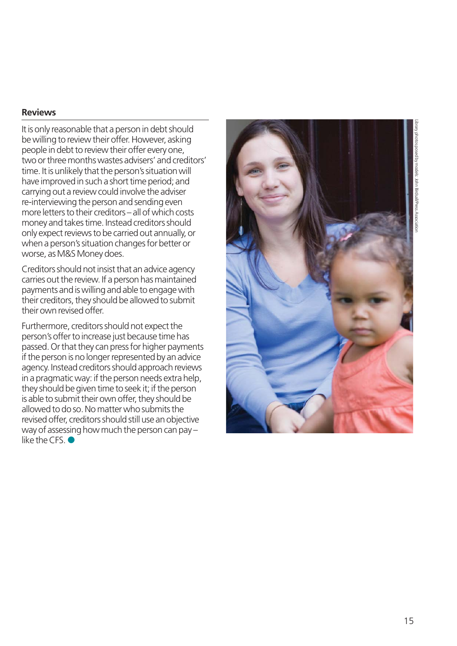# Library photos posed by models: John Birdsall/Press Association

#### **Reviews**

It is only reasonable that a person in debt should be willing to review their offer. However, asking people in debt to review their offer every one, two or three months wastes advisers' and creditors' time. It is unlikely that the person's situation will have improved in such a short time period; and carrying out a review could involve the adviser re-interviewing the person and sending even more letters to their creditors – all of which costs money and takes time. Instead creditors should only expect reviews to be carried out annually, or when a person's situation changes for better or worse, as M&S Money does.

Creditors should not insist that an advice agency carries out the review. If a person has maintained payments and is willing and able to engage with their creditors, they should be allowed to submit their own revised offer.

Furthermore, creditors should not expect the person's offer to increase just because time has passed. Or that they can press for higher payments if the person is no longer represented by an advice agency. Instead creditors should approach reviews in a pragmatic way: if the person needs extra help, they should be given time to seek it; if the person is able to submit their own offer, they should be allowed to do so. No matter who submits the revised offer, creditors should still use an objective way of assessing how much the person can pay – like the CFS.  $\bullet$ 

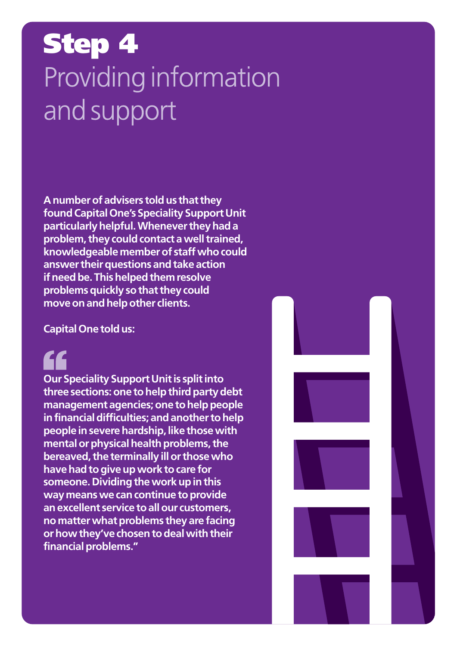## **Step 4**Providing information and support

**A number of advisers told us that they found Capital One's Speciality Support Unit particularly helpful. Whenever they had a problem, they could contact a well trained, knowledgeable member of staff who could answer their questions and take action if need be. This helped them resolve problems quickly so that they could move on and help other clients.**

**Capital One told us:**

**Our Speciality Support Unit is split into three sections: one to help third party debt management agencies; one to help people in financial difficulties; and another to help people in severe hardship, like those with mental or physical health problems, the bereaved, the terminally ill or those who have had to give up work to care for someone. Dividing the work up in this way means we can continue to provide an excellent service to all our customers, no matter what problems they are facing or how they've chosen to deal with their financial problems."**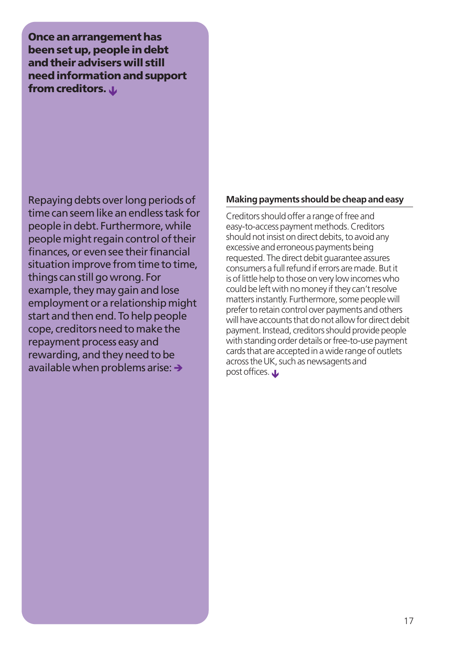**Once an arrangement has been set up, people in debt and their advisers will still need information and support** from creditors. *L* 

Repaying debts over long periods of time can seem like an endless task for people in debt. Furthermore, while people might regain control of their finances, or even see their financial situation improve from time to time. things can still go wrong. For example, they may gain and lose employment or a relationship might start and then end. To help people cope, creditors need to make the repayment process easy and rewarding, and they need to be available when problems arise:  $\rightarrow$ 

#### **Making payments should be cheap and easy**

Creditors should offer a range of free and easy-to-access payment methods. Creditors should not insist on direct debits, to avoid any excessive and erroneous payments being requested. The direct debit guarantee assures consumers a full refund if errors are made. But it is of little help to those on very low incomes who could be left with no money if they can't resolve matters instantly. Furthermore, some people will prefer to retain control over payments and others will have accounts that do not allow for direct debit payment. Instead, creditors should provide people with standing order details or free-to-use payment cards that are accepted in a wide range of outlets across the UK, such as newsagents and post offices.  $\mathbf{\mathbf{\mathbf{\omega}}}$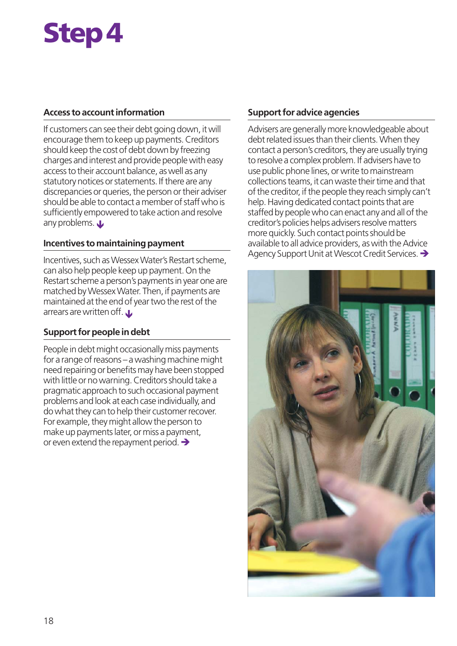# **Step 4**

#### **Access to account information**

If customers can see their debt going down, it will encourage them to keep up payments. Creditors should keep the cost of debt down by freezing charges and interest and provide people with easy access to their account balance, as well as any statutory notices or statements. If there are any discrepancies or queries, the person or their adviser should be able to contact a member of staff who is sufficiently empowered to take action and resolve any problems.  $\mathbf{\mathbf{\mathsf{L}}}$ 

#### **Incentives to maintaining payment**

Incentives, such as Wessex Water's Restart scheme, can also help people keep up payment. On the Restart scheme a person's payments in year one are matched by Wessex Water. Then, if payments are maintained at the end of year two the rest of the arrears are written off.  $\mathbf{\mathbf{\mathsf{L}}}$ 

#### **Support for people in debt**

People in debt might occasionally miss payments for a range of reasons – a washing machine might need repairing or benefits may have been stopped with little or no warning. Creditors should take a pragmatic approach to such occasional payment problems and look at each case individually, and do what they can to help their customer recover. For example, they might allow the person to make up payments later, or miss a payment, or even extend the repayment period.  $\rightarrow$ 

#### **Support for advice agencies**

Advisers are generally more knowledgeable about debt related issues than their clients. When they contact a person's creditors, they are usually trying to resolve a complex problem. If advisers have to use public phone lines, or write to mainstream collections teams, it can waste their time and that of the creditor, if the people they reach simply can't help. Having dedicated contact points that are staffed by people who can enact any and all of the creditor's policies helps advisers resolve matters more quickly. Such contact points should be available to all advice providers, as with the Advice Agency Support Unit at Wescot Credit Services. →

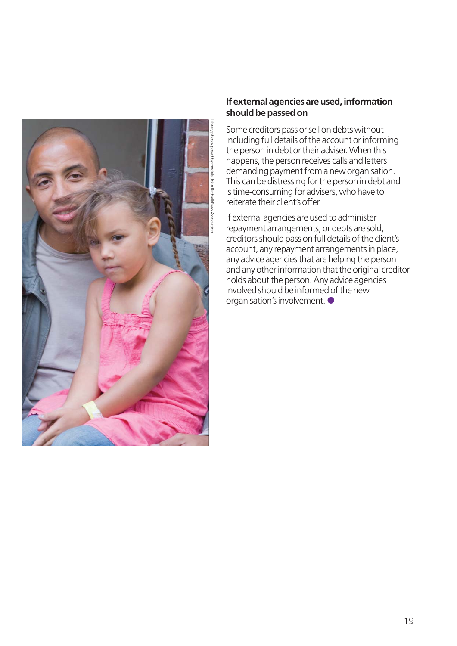

#### **If external agencies are used, information should be passed on**

Some creditors pass or sell on debts without including full details of the account or informing the person in debt or their adviser. When this happens, the person receives calls and letters demanding payment from a new organisation. This can be distressing for the person in debt and is time-consuming for advisers, who have to reiterate their client's offer.

If external agencies are used to administer repayment arrangements, or debts are sold, creditors should pass on full details of the client's account, any repayment arrangements in place, any advice agencies that are helping the person and any other information that the original creditor holds about the person. Any advice agencies involved should be informed of the new organisation's involvement.  $\bullet$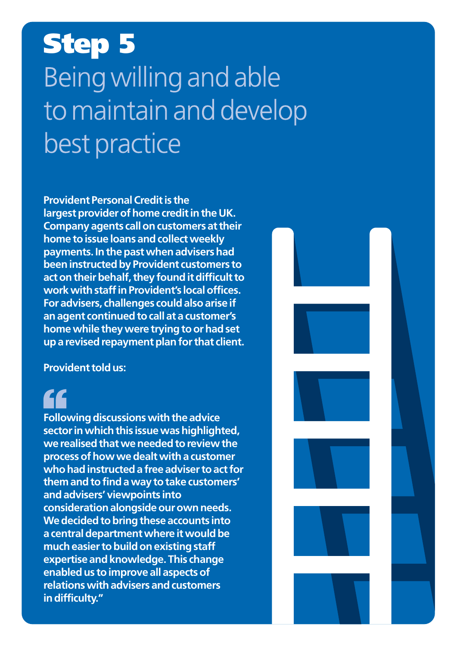# **Step 5**Being willing and able to maintain and develop best practice

**Provident Personal Credit is the largest provider of home credit in the UK. Company agents call on customers at their home to issue loans and collect weekly payments. In the past when advisers had been instructed by Provident customers to act on their behalf, they found it difficult to work with staff in Provident's local offices. For advisers, challenges could also arise if an agent continued to call at a customer's home while they were trying to or had set up a revised repayment plan for that client.**

**Provident told us:**

**Following discussions with the advice sector in which this issue was highlighted, we realised that we needed to review the process of how we dealt with a customer who had instructed a free adviser to act for them and to find a way to take customers' and advisers' viewpoints into consideration alongside our own needs. We decided to bring these accounts into a central department where it would be much easier to build on existing staff expertise and knowledge. This change enabled us to improve all aspects of relations with advisers and customers in difficulty."**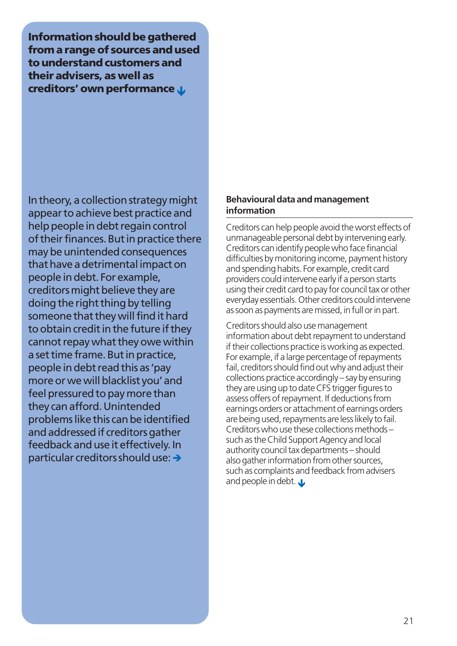**Information should be gathered from a range of sources and used to understand customers and their advisers, as well as creditors' own performance L** 

In theory, a collection strategy might appear to achieve best practice and help people in debt regain control of their finances. But in practice there may be unintended consequences that have a detrimental impact on people in debt. For example, creditors might believe they are doing the right thing by telling someone that they will find it hard to obtain credit in the future if they cannot repay what they owe within a set time frame. But in practice, people in debt read this as 'pay more or we will blacklist you' and feel pressured to pay more than they can afford. Unintended problems like this can be identified and addressed if creditors gather feedback and use it effectively. In particular creditors should use:  $\rightarrow$ 

#### **Behavioural data and management information**

Creditors can help people avoid the worst effects of unmanageable personal debt by intervening early. Creditors can identify people who face financial difficulties by monitoring income, payment history and spending habits. For example, credit card providers could intervene early if a person starts using their credit card to pay for council tax or other everyday essentials. Other creditors could intervene as soon as payments are missed, in full or in part.

Creditors should also use management information about debt repayment to understand if their collections practice is working as expected. For example, if a large percentage of repayments fail, creditors should find out why and adjust their collections practice accordingly – say by ensuring they are using up to date CFS trigger figures to assess offers of repayment. If deductions from earnings orders or attachment of earnings orders are being used, repayments are less likely to fail. Creditors who use these collections methods – such as the Child Support Agency and local authority council tax departments – should also gather information from other sources, such as complaints and feedback from advisers and people in debt.  $\mathbf{\mathbf{\mathbf{\omega}}}$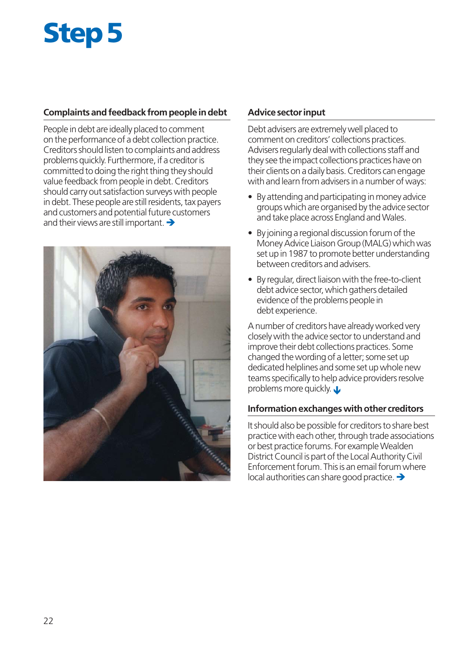# **Step 5**

#### **Complaints and feedback from people in debt**

People in debt are ideally placed to comment on the performance of a debt collection practice. Creditors should listen to complaints and address problems quickly. Furthermore, if a creditor is committed to doing the right thing they should value feedback from people in debt. Creditors should carry out satisfaction surveys with people in debt. These people are still residents, tax payers and customers and potential future customers and their views are still important.  $\rightarrow$ 



#### **Advice sector input**

Debt advisers are extremely well placed to comment on creditors' collections practices. Advisers regularly deal with collections staff and they see the impact collections practices have on their clients on a daily basis. Creditors can engage with and learn from advisers in a number of ways:

- By attending and participating in money advice groups which are organised by the advice sector and take place across England and Wales.
- By joining a regional discussion forum of the Money Advice Liaison Group (MALG) which was set up in 1987 to promote better understanding between creditors and advisers.
- By regular, direct liaison with the free-to-client debt advice sector, which gathers detailed evidence of the problems people in debt experience.

A number of creditors have already worked very closely with the advice sector to understand and improve their debt collections practices. Some changed the wording of a letter; some set up dedicated helplines and some set up whole new teams specifically to help advice providers resolve problems more quickly.  $\mathbf{L}$ 

#### **Information exchanges with other creditors**

It should also be possible for creditors to share best practice with each other, through trade associations or best practice forums. For example Wealden District Council is part of the Local Authority Civil Enforcement forum. This is an email forum where  $\vert$ local authorities can share good practice.  $\rightarrow$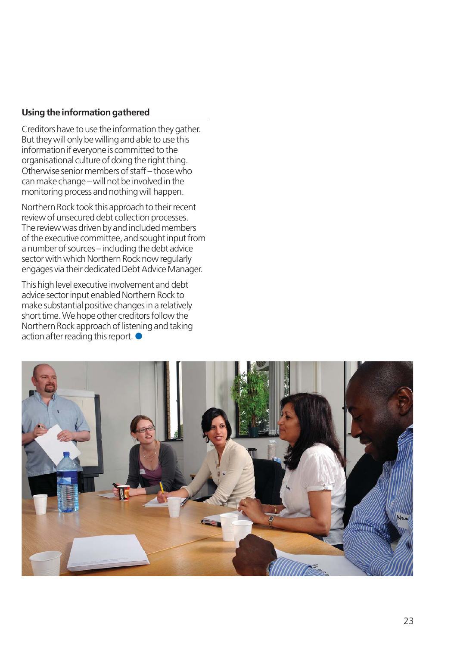#### **Using the information gathered**

Creditors have to use the information they gather. But they will only be willing and able to use this information if everyone is committed to the organisational culture of doing the right thing. Otherwise senior members of staff – those who can make change – will not be involved in the monitoring process and nothing will happen.

Northern Rock took this approach to their recent review of unsecured debt collection processes. The review was driven by and included members of the executive committee, and sought input from a number of sources – including the debt advice sector with which Northern Rock now regularly engages via their dedicated Debt Advice Manager.

This high level executive involvement and debt advice sector input enabled Northern Rock to make substantial positive changes in a relatively short time. We hope other creditors follow the Northern Rock approach of listening and taking action after reading this report.  $\bullet$ 

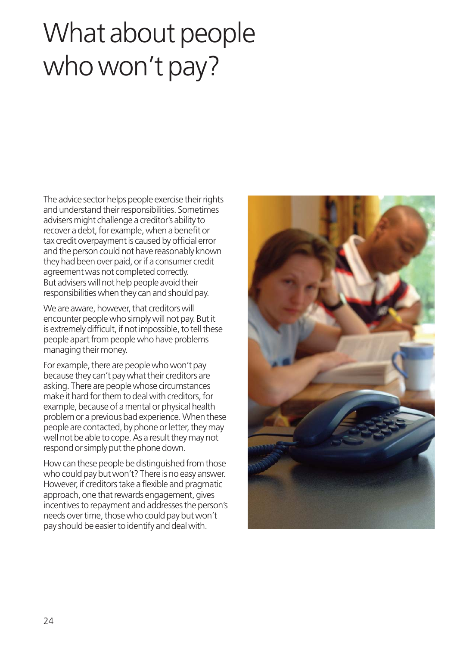# What about people who won't pay?

The advice sector helps people exercise their rights and understand their responsibilities. Sometimes advisers might challenge a creditor's ability to recover a debt, for example, when a benefit or tax credit overpayment is caused by official error and the person could not have reasonably known they had been over paid, or if a consumer credit agreement was not completed correctly. But advisers will not help people avoid their responsibilities when they can and should pay.

We are aware, however, that creditors will encounter people who simply will not pay. But it is extremely difficult, if not impossible, to tell these people apart from people who have problems managing their money.

For example, there are people who won't pay because they can't pay what their creditors are asking. There are people whose circumstances make it hard for them to deal with creditors, for example, because of a mental or physical health problem or a previous bad experience. When these people are contacted, by phone or letter, they may well not be able to cope. As a result they may not respond or simply put the phone down.

How can these people be distinguished from those who could pay but won't? There is no easy answer. However, if creditors take a flexible and pragmatic approach, one that rewards engagement, gives incentives to repayment and addresses the person's needs over time, those who could pay but won't pay should be easier to identify and deal with.

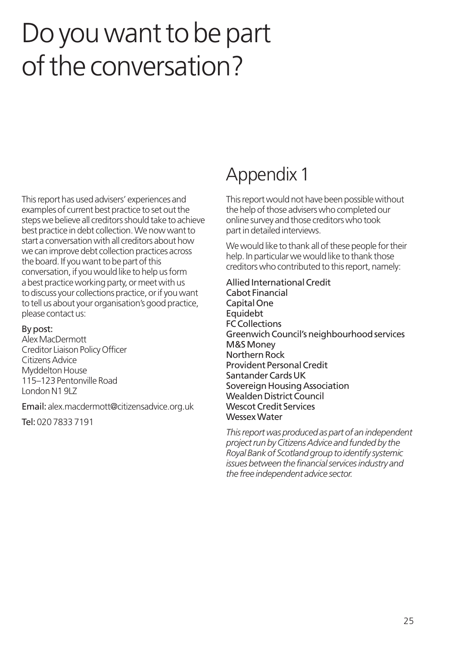## Do you want to be part of the conversation?

This report has used advisers' experiences and examples of current best practice to set out the steps we believe all creditors should take to achieve best practice in debt collection. We now want to start a conversation with all creditors about how we can improve debt collection practices across the board. If you want to be part of this conversation, if you would like to help us form a best practice working party, or meet with us to discuss your collections practice, or if you want to tell us about your organisation's good practice, please contact us:

#### By post:

Alex MacDermott Creditor Liaison Policy Officer Citizens Advice Myddelton House 115–123 Pentonville Road London N1 9LZ

Email: alex.macdermott@citizensadvice.org.uk

Tel: 020 7833 7191

## Appendix 1

This report would not have been possible without the help of those advisers who completed our online survey and those creditors who took part in detailed interviews.

We would like to thank all of these people for their help. In particular we would like to thank those creditors who contributed to this report, namely:

Allied International Credit Cabot Financial Capital One Equidebt FC Collections Greenwich Council's neighbourhood services M&S Money Northern Rock Provident Personal Credit Santander Cards UK Sovereign Housing Association Wealden District Council Wescot Credit Services Wessex Water

*This report was produced as part of an independent project run by Citizens Advice and funded by the Royal Bank of Scotland group to identify systemic issues between the financial services industry and the free independent advice sector.*